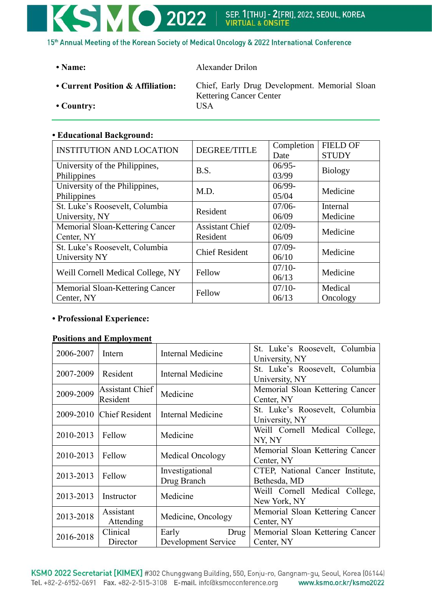# **KSMO 2022** | SEP. 1[THU] - 2[FRI], 2022, SEOUL, KOREA 15<sup>th</sup> Annual Meeting of the Korean Society of Medical Oncology & 2022 International Conference

**• Name:** Alexander Drilon

- 
- **Country:** USA

**• Current Position & Affiliation:** Chief, Early Drug Development. Memorial Sloan Kettering Cancer Center

# **• Educational Background:**

| <b>INSTITUTION AND LOCATION</b>   | <b>DEGREE/TITLE</b>    | Completion | <b>FIELD OF</b> |  |
|-----------------------------------|------------------------|------------|-----------------|--|
|                                   |                        | Date       | <b>STUDY</b>    |  |
| University of the Philippines,    | B.S.                   | $06/95 -$  |                 |  |
| Philippines                       |                        | 03/99      | <b>Biology</b>  |  |
| University of the Philippines,    | M.D.                   | $06/99-$   | Medicine        |  |
| Philippines                       |                        | 05/04      |                 |  |
| St. Luke's Roosevelt, Columbia    | Resident               | $07/06 -$  | Internal        |  |
| University, NY                    |                        | 06/09      | Medicine        |  |
| Memorial Sloan-Kettering Cancer   | <b>Assistant Chief</b> | $02/09 -$  | Medicine        |  |
| Center, NY                        | Resident               | 06/09      |                 |  |
| St. Luke's Roosevelt, Columbia    | <b>Chief Resident</b>  | $07/09 -$  | Medicine        |  |
| University NY                     |                        | 06/10      |                 |  |
|                                   |                        | $07/10-$   | Medicine        |  |
| Weill Cornell Medical College, NY | Fellow                 | 06/13      |                 |  |
| Memorial Sloan-Kettering Cancer   | Fellow                 | $07/10-$   | Medical         |  |
| Center, NY                        |                        | 06/13      | Oncology        |  |

# **• Professional Experience:**

# **Positions and Employment**

| 2006-2007 | Intern                      | Internal Medicine                    | St. Luke's Roosevelt, Columbia<br>University, NY |  |
|-----------|-----------------------------|--------------------------------------|--------------------------------------------------|--|
| 2007-2009 | Resident                    | Internal Medicine                    | St. Luke's Roosevelt, Columbia<br>University, NY |  |
| 2009-2009 | Assistant Chief<br>Resident | Medicine                             | Memorial Sloan Kettering Cancer<br>Center, NY    |  |
|           | 2009-2010 Chief Resident    | Internal Medicine                    | St. Luke's Roosevelt, Columbia<br>University, NY |  |
| 2010-2013 | Fellow                      | Medicine                             | Weill Cornell Medical College,<br>NY, NY         |  |
| 2010-2013 | Fellow                      | Medical Oncology                     | Memorial Sloan Kettering Cancer<br>Center, NY    |  |
| 2013-2013 | Fellow                      | Investigational<br>Drug Branch       | CTEP, National Cancer Institute,<br>Bethesda, MD |  |
| 2013-2013 | Instructor                  | Medicine                             | Weill Cornell Medical College,<br>New York, NY   |  |
| 2013-2018 | Assistant<br>Attending      | Medicine, Oncology                   | Memorial Sloan Kettering Cancer<br>Center, NY    |  |
| 2016-2018 | Clinical<br>Director        | Early<br>Drug<br>Development Service | Memorial Sloan Kettering Cancer<br>Center, NY    |  |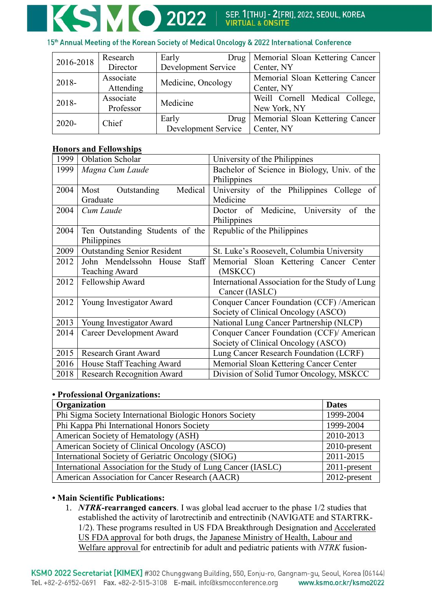#### 15<sup>th</sup> Annual Meeting of the Korean Society of Medical Oncology & 2022 International Conference

| 2016-2018 | Research  | Early<br>Drug       | Memorial Sloan Kettering Cancer |
|-----------|-----------|---------------------|---------------------------------|
|           | Director  | Development Service | Center, NY                      |
| 2018-     | Associate | Medicine, Oncology  | Memorial Sloan Kettering Cancer |
|           | Attending |                     | Center, NY                      |
| 2018-     | Associate | Medicine            | Weill Cornell Medical College,  |
|           | Professor |                     | New York, NY                    |
| $2020 -$  | Chief     | Early<br>Drug       | Memorial Sloan Kettering Cancer |
|           |           | Development Service | Center, NY                      |

# **Honors and Fellowships**

| 1999 | <b>Oblation Scholar</b>            | University of the Philippines                   |  |
|------|------------------------------------|-------------------------------------------------|--|
| 1999 | Magna Cum Laude                    | Bachelor of Science in Biology, Univ. of the    |  |
|      |                                    | Philippines                                     |  |
| 2004 | Medical<br>Outstanding<br>Most     | University of the Philippines College of        |  |
|      | Graduate                           | Medicine                                        |  |
| 2004 | Cum Laude                          | Doctor of Medicine, University<br>of<br>the     |  |
|      |                                    | Philippines                                     |  |
| 2004 | Ten Outstanding Students of the    | Republic of the Philippines                     |  |
|      | Philippines                        |                                                 |  |
| 2009 | <b>Outstanding Senior Resident</b> | St. Luke's Roosevelt, Columbia University       |  |
| 2012 | John Mendelssohn House<br>Staff    | Memorial Sloan Kettering Cancer Center          |  |
|      | <b>Teaching Award</b>              | (MSKCC)                                         |  |
| 2012 | Fellowship Award                   | International Association for the Study of Lung |  |
|      |                                    | Cancer (IASLC)                                  |  |
| 2012 | Young Investigator Award           | Conquer Cancer Foundation (CCF) /American       |  |
|      |                                    | Society of Clinical Oncology (ASCO)             |  |
| 2013 | Young Investigator Award           | National Lung Cancer Partnership (NLCP)         |  |
| 2014 | Career Development Award           | Conquer Cancer Foundation (CCF)/ American       |  |
|      |                                    | Society of Clinical Oncology (ASCO)             |  |
| 2015 | <b>Research Grant Award</b>        | Lung Cancer Research Foundation (LCRF)          |  |
| 2016 | House Staff Teaching Award         | Memorial Sloan Kettering Cancer Center          |  |
| 2018 | <b>Research Recognition Award</b>  | Division of Solid Tumor Oncology, MSKCC         |  |

#### **• Professional Organizations:**

| Organization                                                   | <b>Dates</b> |
|----------------------------------------------------------------|--------------|
| Phi Sigma Society International Biologic Honors Society        | 1999-2004    |
| Phi Kappa Phi International Honors Society                     | 1999-2004    |
| American Society of Hematology (ASH)                           | 2010-2013    |
| American Society of Clinical Oncology (ASCO)                   | 2010-present |
| International Society of Geriatric Oncology (SIOG)             | 2011-2015    |
| International Association for the Study of Lung Cancer (IASLC) | 2011-present |
| American Association for Cancer Research (AACR)                | 2012-present |

# **• Main Scientific Publications:**

1. *NTRK***-rearranged cancers**. I was global lead accruer to the phase 1/2 studies that established the activity of larotrectinib and entrectinib (NAVIGATE and STARTRK-1/2). These programs resulted in US FDA Breakthrough Designation and Accelerated US FDA approval for both drugs, the Japanese Ministry of Health, Labour and Welfare approval for entrectinib for adult and pediatric patients with *NTRK* fusion-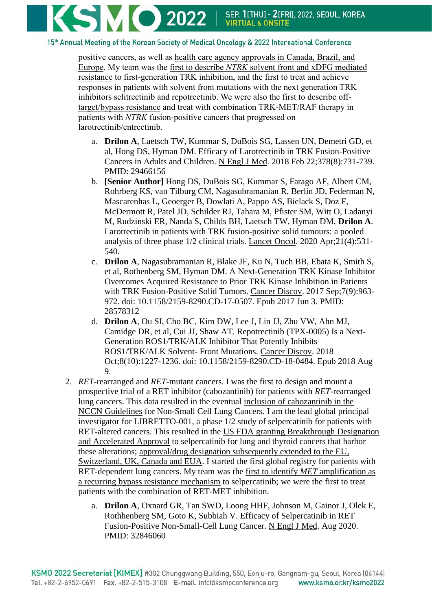

15th Annual Meeting of the Korean Society of Medical Oncology & 2022 International Conference

positive cancers, as well as health care agency approvals in Canada, Brazil, and Europe. My team was the first to describe *NTRK* solvent front and xDFG mediated resistance to first-generation TRK inhibition, and the first to treat and achieve responses in patients with solvent front mutations with the next generation TRK inhibitors selitrectinib and repotrectinib. We were also the first to describe offtarget/bypass resistance and treat with combination TRK-MET/RAF therapy in patients with *NTRK* fusion-positive cancers that progressed on larotrectinib/entrectinib.

- a. **Drilon A**, Laetsch TW, Kummar S, DuBois SG, Lassen UN, Demetri GD, et al, Hong DS, Hyman DM. Efficacy of Larotrectinib in TRK Fusion-Positive Cancers in Adults and Children. N Engl J Med. 2018 Feb 22;378(8):731-739. PMID: 29466156
- b. **[Senior Author]** Hong DS, DuBois SG, Kummar S, Farago AF, Albert CM, Rohrberg KS, van Tilburg CM, Nagasubramanian R, Berlin JD, Federman N, Mascarenhas L, Geoerger B, Dowlati A, Pappo AS, Bielack S, Doz F, McDermott R, Patel JD, Schilder RJ, Tahara M, Pfister SM, Witt O, Ladanyi M, Rudzinski ER, Nanda S, Childs BH, Laetsch TW, Hyman DM, **Drilon A**. Larotrectinib in patients with TRK fusion-positive solid tumours: a pooled analysis of three phase 1/2 clinical trials. Lancet Oncol. 2020 Apr;21(4):531- 540.
- c. **Drilon A**, Nagasubramanian R, Blake JF, Ku N, Tuch BB, Ebata K, Smith S, et al, Rothenberg SM, Hyman DM. A Next-Generation TRK Kinase Inhibitor Overcomes Acquired Resistance to Prior TRK Kinase Inhibition in Patients with TRK Fusion-Positive Solid Tumors. Cancer Discov. 2017 Sep;7(9):963- 972. doi: 10.1158/2159-8290.CD-17-0507. Epub 2017 Jun 3. PMID: 28578312
- d. **Drilon A**, Ou SI, Cho BC, Kim DW, Lee J, Lin JJ, Zhu VW, Ahn MJ, Camidge DR, et al, Cui JJ, Shaw AT. Repotrectinib (TPX-0005) Is a Next-Generation ROS1/TRK/ALK Inhibitor That Potently Inhibits ROS1/TRK/ALK Solvent- Front Mutations. Cancer Discov. 2018 Oct;8(10):1227-1236. doi: 10.1158/2159-8290.CD-18-0484. Epub 2018 Aug 9.
- 2. *RET*-rearranged and *RET*-mutant cancers. I was the first to design and mount a prospective trial of a RET inhibitor (cabozantinib) for patients with *RET*-rearranged lung cancers. This data resulted in the eventual inclusion of cabozantinib in the NCCN Guidelines for Non-Small Cell Lung Cancers. I am the lead global principal investigator for LIBRETTO-001, a phase 1/2 study of selpercatinib for patients with RET-altered cancers. This resulted in the US FDA granting Breakthrough Designation and Accelerated Approval to selpercatinib for lung and thyroid cancers that harbor these alterations; approval/drug designation subsequently extended to the EU, Switzerland, UK, Canada and EUA. I started the first global registry for patients with RET-dependent lung cancers. My team was the first to identify *MET* amplification as a recurring bypass resistance mechanism to selpercatinib; we were the first to treat patients with the combination of RET-MET inhibition.
	- a. **Drilon A**, Oxnard GR, Tan SWD, Loong HHF, Johnson M, Gainor J, Olek E, Rothhenberg SM, Goto K, Subbiah V. Efficacy of Selpercatinib in RET Fusion-Positive Non-Small-Cell Lung Cancer. N Engl J Med. Aug 2020. PMID: 32846060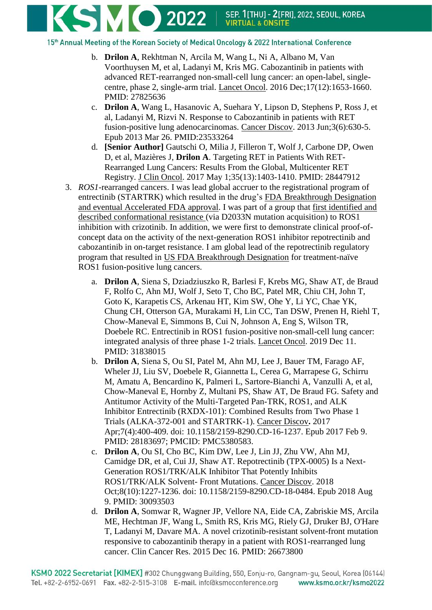**KSMO 2022** | SEP. 1[THU] - 2[FRI], 2022, SEOUL, KOREA

15th Annual Meeting of the Korean Society of Medical Oncology & 2022 International Conference

- b. **Drilon A**, Rekhtman N, Arcila M, Wang L, Ni A, Albano M, Van Voorthuysen M, et al, Ladanyi M, Kris MG. Cabozantinib in patients with advanced RET-rearranged non-small-cell lung cancer: an open-label, singlecentre, phase 2, single-arm trial. Lancet Oncol. 2016 Dec;17(12):1653-1660. PMID: 27825636
- c. **Drilon A**, Wang L, Hasanovic A, Suehara Y, Lipson D, Stephens P, Ross J, et al, Ladanyi M, Rizvi N. Response to Cabozantinib in patients with RET fusion-positive lung adenocarcinomas. Cancer Discov. 2013 Jun;3(6):630-5. Epub 2013 Mar 26. PMID:23533264
- d. **[Senior Author]** Gautschi O, Milia J, Filleron T, Wolf J, Carbone DP, Owen D, et al, Mazières J, **Drilon A**. Targeting RET in Patients With RET-Rearranged Lung Cancers: Results From the Global, Multicenter RET Registry. J Clin Oncol. 2017 May 1;35(13):1403-1410. PMID: 28447912
- 3. *ROS1*-rearranged cancers. I was lead global accruer to the registrational program of entrectinib (STARTRK) which resulted in the drug's FDA Breakthrough Designation and eventual Accelerated FDA approval. I was part of a group that first identified and described conformational resistance (via D2033N mutation acquisition) to ROS1 inhibition with crizotinib. In addition, we were first to demonstrate clinical proof-ofconcept data on the activity of the next-generation ROS1 inhibitor repotrectinib and cabozantinib in on-target resistance. I am global lead of the repotrectinib regulatory program that resulted in US FDA Breakthrough Designation for treatment-naïve ROS1 fusion-positive lung cancers.
	- a. **Drilon A**, Siena S, Dziadziuszko R, Barlesi F, Krebs MG, Shaw AT, de Braud F, Rolfo C, Ahn MJ, Wolf J, Seto T, Cho BC, Patel MR, Chiu CH, John T, Goto K, Karapetis CS, Arkenau HT, Kim SW, Ohe Y, Li YC, Chae YK, Chung CH, Otterson GA, Murakami H, Lin CC, Tan DSW, Prenen H, Riehl T, Chow-Maneval E, Simmons B, Cui N, Johnson A, Eng S, Wilson TR, Doebele RC. Entrectinib in ROS1 fusion-positive non-small-cell lung cancer: integrated analysis of three phase 1-2 trials. Lancet Oncol. 2019 Dec 11. PMID: 31838015
	- b. **Drilon A**, Siena S, Ou SI, Patel M, Ahn MJ, Lee J, Bauer TM, Farago AF, Wheler JJ, Liu SV, Doebele R, Giannetta L, Cerea G, Marrapese G, Schirru M, Amatu A, Bencardino K, Palmeri L, Sartore-Bianchi A, Vanzulli A, et al, Chow-Maneval E, Hornby Z, Multani PS, Shaw AT, De Braud FG. Safety and Antitumor Activity of the Multi-Targeted Pan-TRK, ROS1, and ALK Inhibitor Entrectinib (RXDX-101): Combined Results from Two Phase 1 Trials (ALKA-372-001 and STARTRK-1). Cancer Discov**.** 2017 Apr;7(4):400-409. doi: 10.1158/2159-8290.CD-16-1237. Epub 2017 Feb 9. PMID: 28183697; PMCID: PMC5380583.
	- c. **Drilon A**, Ou SI, Cho BC, Kim DW, Lee J, Lin JJ, Zhu VW, Ahn MJ, Camidge DR, et al, Cui JJ, Shaw AT. Repotrectinib (TPX-0005) Is a Next-Generation ROS1/TRK/ALK Inhibitor That Potently Inhibits ROS1/TRK/ALK Solvent- Front Mutations. Cancer Discov. 2018 Oct;8(10):1227-1236. doi: 10.1158/2159-8290.CD-18-0484. Epub 2018 Aug 9. PMID: 30093503
	- d. **Drilon A**, Somwar R, Wagner JP, Vellore NA, Eide CA, Zabriskie MS, Arcila ME, Hechtman JF, Wang L, Smith RS, Kris MG, Riely GJ, Druker BJ, O'Hare T, Ladanyi M, Davare MA. [A novel crizotinib-resistant solvent-front mutation](http://www.ncbi.nlm.nih.gov/pubmed/26673800)  [responsive to cabozantinib therapy in a patient with ROS1-rearranged lung](http://www.ncbi.nlm.nih.gov/pubmed/26673800)  [cancer.](http://www.ncbi.nlm.nih.gov/pubmed/26673800) Clin Cancer Res. 2015 Dec 16. PMID: 26673800